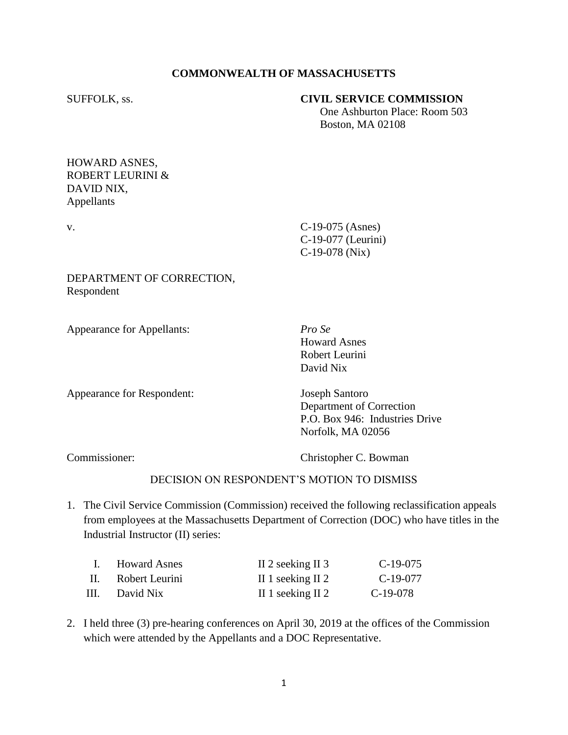## **COMMONWEALTH OF MASSACHUSETTS**

#### SUFFOLK, ss. **CIVIL SERVICE COMMISSION**

 One Ashburton Place: Room 503 Boston, MA 02108

### HOWARD ASNES, ROBERT LEURINI & DAVID NIX, Appellants

v. C-19-075 (Asnes) C-19-077 (Leurini) C-19-078 (Nix)

### DEPARTMENT OF CORRECTION, Respondent

Appearance for Appellants: *Pro Se*

Howard Asnes Robert Leurini David Nix

Appearance for Respondent: Joseph Santoro

Department of Correction P.O. Box 946: Industries Drive Norfolk, MA 02056

Commissioner: Christopher C. Bowman

# DECISION ON RESPONDENT'S MOTION TO DISMISS

1. The Civil Service Commission (Commission) received the following reclassification appeals from employees at the Massachusetts Department of Correction (DOC) who have titles in the Industrial Instructor (II) series:

|    | I. Howard Asnes | II 2 seeking II 3 | $C-19-075$ |
|----|-----------------|-------------------|------------|
| H. | Robert Leurini  | II 1 seeking II 2 | C-19-077   |
| Ш. | David Nix       | II 1 seeking II 2 | $C-19-078$ |

2. I held three (3) pre-hearing conferences on April 30, 2019 at the offices of the Commission which were attended by the Appellants and a DOC Representative.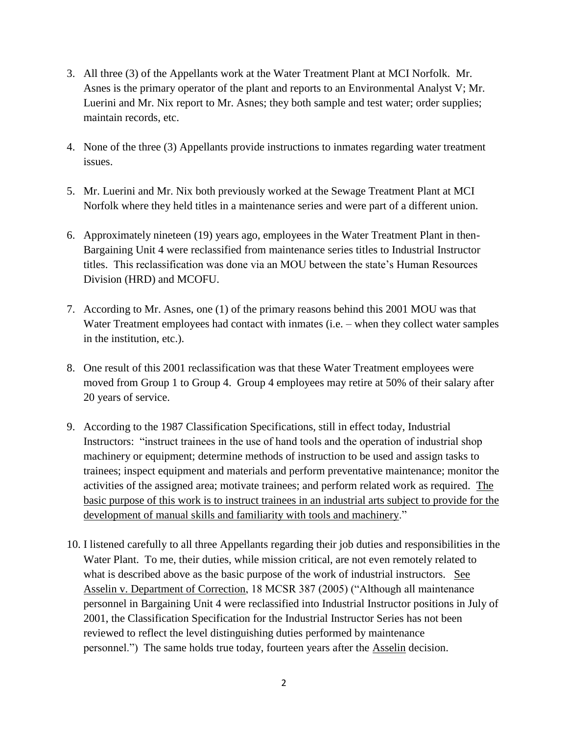- 3. All three (3) of the Appellants work at the Water Treatment Plant at MCI Norfolk. Mr. Asnes is the primary operator of the plant and reports to an Environmental Analyst V; Mr. Luerini and Mr. Nix report to Mr. Asnes; they both sample and test water; order supplies; maintain records, etc.
- 4. None of the three (3) Appellants provide instructions to inmates regarding water treatment issues.
- 5. Mr. Luerini and Mr. Nix both previously worked at the Sewage Treatment Plant at MCI Norfolk where they held titles in a maintenance series and were part of a different union.
- 6. Approximately nineteen (19) years ago, employees in the Water Treatment Plant in then-Bargaining Unit 4 were reclassified from maintenance series titles to Industrial Instructor titles. This reclassification was done via an MOU between the state's Human Resources Division (HRD) and MCOFU.
- 7. According to Mr. Asnes, one (1) of the primary reasons behind this 2001 MOU was that Water Treatment employees had contact with inmates (i.e. – when they collect water samples in the institution, etc.).
- 8. One result of this 2001 reclassification was that these Water Treatment employees were moved from Group 1 to Group 4. Group 4 employees may retire at 50% of their salary after 20 years of service.
- 9. According to the 1987 Classification Specifications, still in effect today, Industrial Instructors: "instruct trainees in the use of hand tools and the operation of industrial shop machinery or equipment; determine methods of instruction to be used and assign tasks to trainees; inspect equipment and materials and perform preventative maintenance; monitor the activities of the assigned area; motivate trainees; and perform related work as required. The basic purpose of this work is to instruct trainees in an industrial arts subject to provide for the development of manual skills and familiarity with tools and machinery."
- 10. I listened carefully to all three Appellants regarding their job duties and responsibilities in the Water Plant. To me, their duties, while mission critical, are not even remotely related to what is described above as the basic purpose of the work of industrial instructors. See Asselin v. Department of Correction, 18 MCSR 387 (2005) ("Although all maintenance personnel in Bargaining Unit 4 were reclassified into Industrial Instructor positions in July of 2001, the Classification Specification for the Industrial Instructor Series has not been reviewed to reflect the level distinguishing duties performed by maintenance personnel.") The same holds true today, fourteen years after the **Asselin** decision.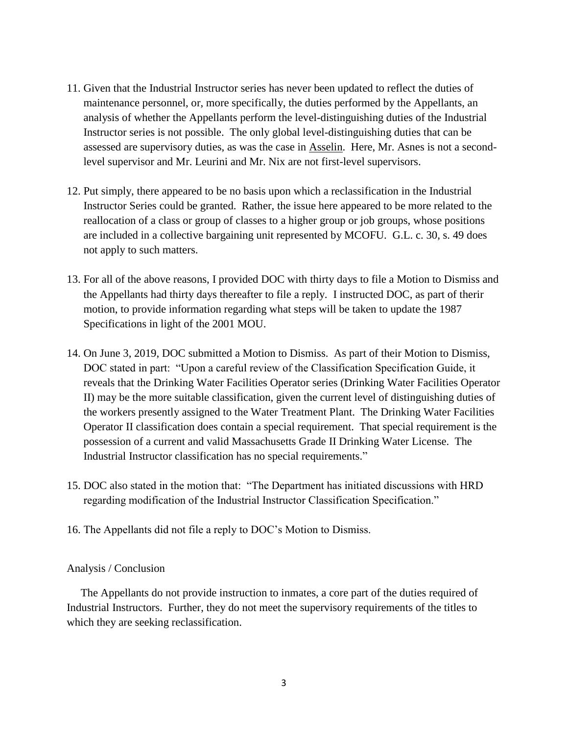- 11. Given that the Industrial Instructor series has never been updated to reflect the duties of maintenance personnel, or, more specifically, the duties performed by the Appellants, an analysis of whether the Appellants perform the level-distinguishing duties of the Industrial Instructor series is not possible. The only global level-distinguishing duties that can be assessed are supervisory duties, as was the case in Asselin. Here, Mr. Asnes is not a secondlevel supervisor and Mr. Leurini and Mr. Nix are not first-level supervisors.
- 12. Put simply, there appeared to be no basis upon which a reclassification in the Industrial Instructor Series could be granted. Rather, the issue here appeared to be more related to the reallocation of a class or group of classes to a higher group or job groups, whose positions are included in a collective bargaining unit represented by MCOFU. G.L. c. 30, s. 49 does not apply to such matters.
- 13. For all of the above reasons, I provided DOC with thirty days to file a Motion to Dismiss and the Appellants had thirty days thereafter to file a reply. I instructed DOC, as part of therir motion, to provide information regarding what steps will be taken to update the 1987 Specifications in light of the 2001 MOU.
- 14. On June 3, 2019, DOC submitted a Motion to Dismiss. As part of their Motion to Dismiss, DOC stated in part: "Upon a careful review of the Classification Specification Guide, it reveals that the Drinking Water Facilities Operator series (Drinking Water Facilities Operator II) may be the more suitable classification, given the current level of distinguishing duties of the workers presently assigned to the Water Treatment Plant. The Drinking Water Facilities Operator II classification does contain a special requirement. That special requirement is the possession of a current and valid Massachusetts Grade II Drinking Water License. The Industrial Instructor classification has no special requirements."
- 15. DOC also stated in the motion that: "The Department has initiated discussions with HRD regarding modification of the Industrial Instructor Classification Specification."
- 16. The Appellants did not file a reply to DOC's Motion to Dismiss.

### Analysis / Conclusion

 The Appellants do not provide instruction to inmates, a core part of the duties required of Industrial Instructors. Further, they do not meet the supervisory requirements of the titles to which they are seeking reclassification.